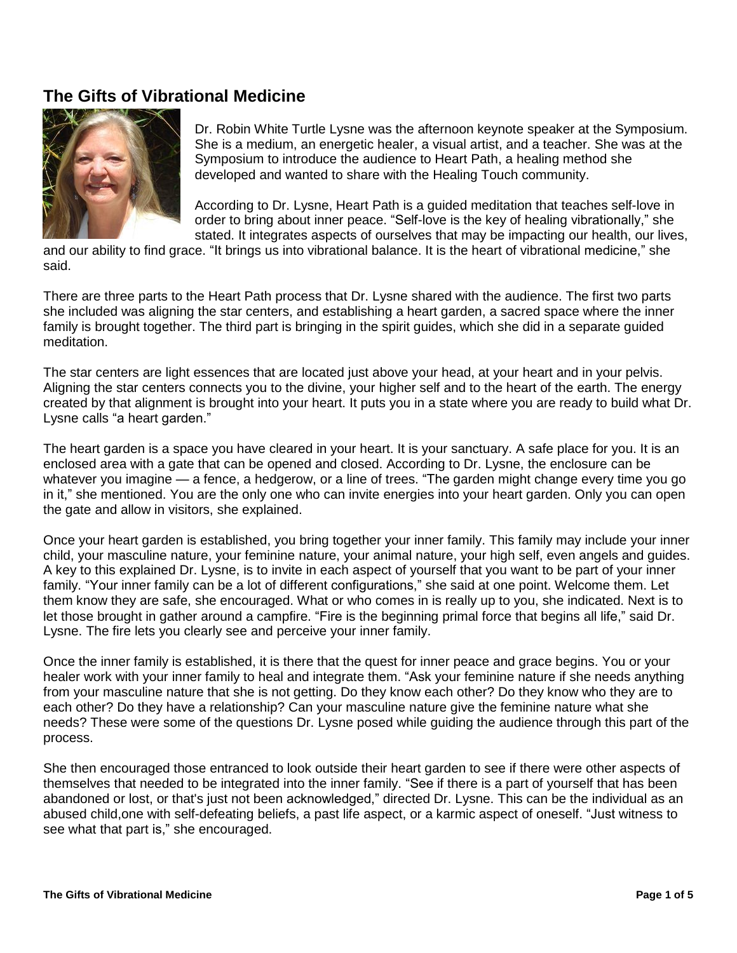## **The Gifts of Vibrational Medicine**



Dr. Robin White Turtle Lysne was the afternoon keynote speaker at the Symposium. She is a medium, an energetic healer, a visual artist, and a teacher. She was at the Symposium to introduce the audience to Heart Path, a healing method she developed and wanted to share with the Healing Touch community.

According to Dr. Lysne, Heart Path is a guided meditation that teaches self-love in order to bring about inner peace. "Self-love is the key of healing vibrationally," she stated. It integrates aspects of ourselves that may be impacting our health, our lives,

and our ability to find grace. "It brings us into vibrational balance. It is the heart of vibrational medicine," she said.

There are three parts to the Heart Path process that Dr. Lysne shared with the audience. The first two parts she included was aligning the star centers, and establishing a heart garden, a sacred space where the inner family is brought together. The third part is bringing in the spirit guides, which she did in a separate guided meditation.

The star centers are light essences that are located just above your head, at your heart and in your pelvis. Aligning the star centers connects you to the divine, your higher self and to the heart of the earth. The energy created by that alignment is brought into your heart. It puts you in a state where you are ready to build what Dr. Lysne calls "a heart garden."

The heart garden is a space you have cleared in your heart. It is your sanctuary. A safe place for you. It is an enclosed area with a gate that can be opened and closed. According to Dr. Lysne, the enclosure can be whatever you imagine — a fence, a hedgerow, or a line of trees. "The garden might change every time you go in it," she mentioned. You are the only one who can invite energies into your heart garden. Only you can open the gate and allow in visitors, she explained.

Once your heart garden is established, you bring together your inner family. This family may include your inner child, your masculine nature, your feminine nature, your animal nature, your high self, even angels and guides. A key to this explained Dr. Lysne, is to invite in each aspect of yourself that you want to be part of your inner family. "Your inner family can be a lot of different configurations," she said at one point. Welcome them. Let them know they are safe, she encouraged. What or who comes in is really up to you, she indicated. Next is to let those brought in gather around a campfire. "Fire is the beginning primal force that begins all life," said Dr. Lysne. The fire lets you clearly see and perceive your inner family.

Once the inner family is established, it is there that the quest for inner peace and grace begins. You or your healer work with your inner family to heal and integrate them. "Ask your feminine nature if she needs anything from your masculine nature that she is not getting. Do they know each other? Do they know who they are to each other? Do they have a relationship? Can your masculine nature give the feminine nature what she needs? These were some of the questions Dr. Lysne posed while guiding the audience through this part of the process.

She then encouraged those entranced to look outside their heart garden to see if there were other aspects of themselves that needed to be integrated into the inner family. "See if there is a part of yourself that has been abandoned or lost, or that's just not been acknowledged," directed Dr. Lysne. This can be the individual as an abused child,one with self-defeating beliefs, a past life aspect, or a karmic aspect of oneself. "Just witness to see what that part is," she encouraged.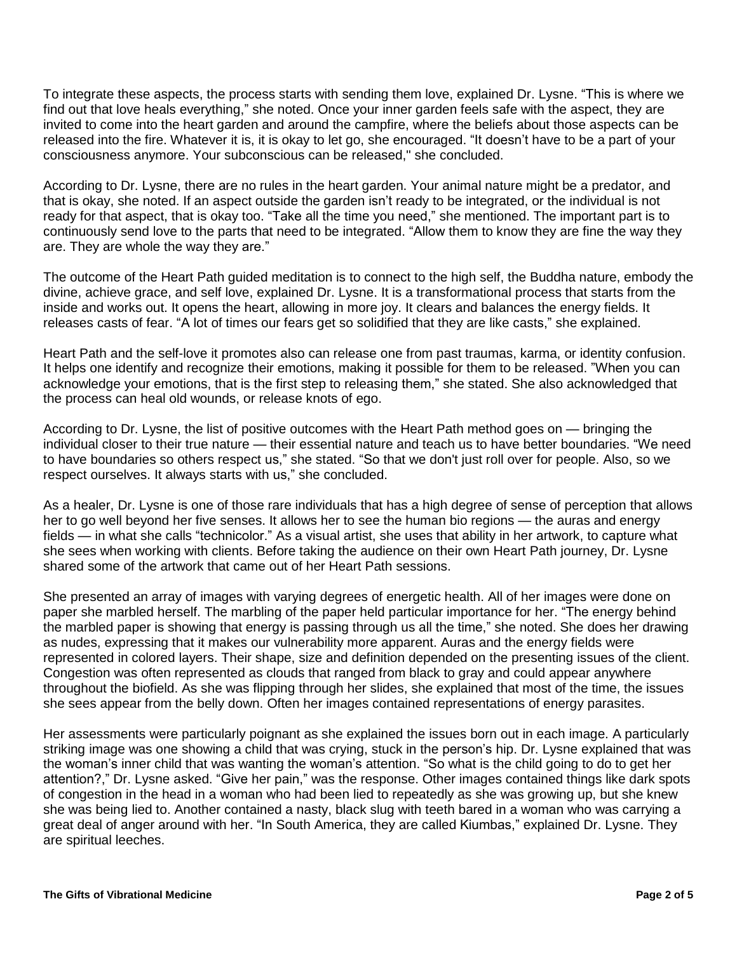To integrate these aspects, the process starts with sending them love, explained Dr. Lysne. "This is where we find out that love heals everything," she noted. Once your inner garden feels safe with the aspect, they are invited to come into the heart garden and around the campfire, where the beliefs about those aspects can be released into the fire. Whatever it is, it is okay to let go, she encouraged. "It doesn't have to be a part of your consciousness anymore. Your subconscious can be released," she concluded.

According to Dr. Lysne, there are no rules in the heart garden. Your animal nature might be a predator, and that is okay, she noted. If an aspect outside the garden isn't ready to be integrated, or the individual is not ready for that aspect, that is okay too. "Take all the time you need," she mentioned. The important part is to continuously send love to the parts that need to be integrated. "Allow them to know they are fine the way they are. They are whole the way they are."

The outcome of the Heart Path guided meditation is to connect to the high self, the Buddha nature, embody the divine, achieve grace, and self love, explained Dr. Lysne. It is a transformational process that starts from the inside and works out. It opens the heart, allowing in more joy. It clears and balances the energy fields. It releases casts of fear. "A lot of times our fears get so solidified that they are like casts," she explained.

Heart Path and the self-love it promotes also can release one from past traumas, karma, or identity confusion. It helps one identify and recognize their emotions, making it possible for them to be released. "When you can acknowledge your emotions, that is the first step to releasing them," she stated. She also acknowledged that the process can heal old wounds, or release knots of ego.

According to Dr. Lysne, the list of positive outcomes with the Heart Path method goes on — bringing the individual closer to their true nature — their essential nature and teach us to have better boundaries. "We need to have boundaries so others respect us," she stated. "So that we don't just roll over for people. Also, so we respect ourselves. It always starts with us," she concluded.

As a healer, Dr. Lysne is one of those rare individuals that has a high degree of sense of perception that allows her to go well beyond her five senses. It allows her to see the human bio regions — the auras and energy fields — in what she calls "technicolor." As a visual artist, she uses that ability in her artwork, to capture what she sees when working with clients. Before taking the audience on their own Heart Path journey, Dr. Lysne shared some of the artwork that came out of her Heart Path sessions.

She presented an array of images with varying degrees of energetic health. All of her images were done on paper she marbled herself. The marbling of the paper held particular importance for her. "The energy behind the marbled paper is showing that energy is passing through us all the time," she noted. She does her drawing as nudes, expressing that it makes our vulnerability more apparent. Auras and the energy fields were represented in colored layers. Their shape, size and definition depended on the presenting issues of the client. Congestion was often represented as clouds that ranged from black to gray and could appear anywhere throughout the biofield. As she was flipping through her slides, she explained that most of the time, the issues she sees appear from the belly down. Often her images contained representations of energy parasites.

Her assessments were particularly poignant as she explained the issues born out in each image. A particularly striking image was one showing a child that was crying, stuck in the person's hip. Dr. Lysne explained that was the woman's inner child that was wanting the woman's attention. "So what is the child going to do to get her attention?," Dr. Lysne asked. "Give her pain," was the response. Other images contained things like dark spots of congestion in the head in a woman who had been lied to repeatedly as she was growing up, but she knew she was being lied to. Another contained a nasty, black slug with teeth bared in a woman who was carrying a great deal of anger around with her. "In South America, they are called Kiumbas," explained Dr. Lysne. They are spiritual leeches.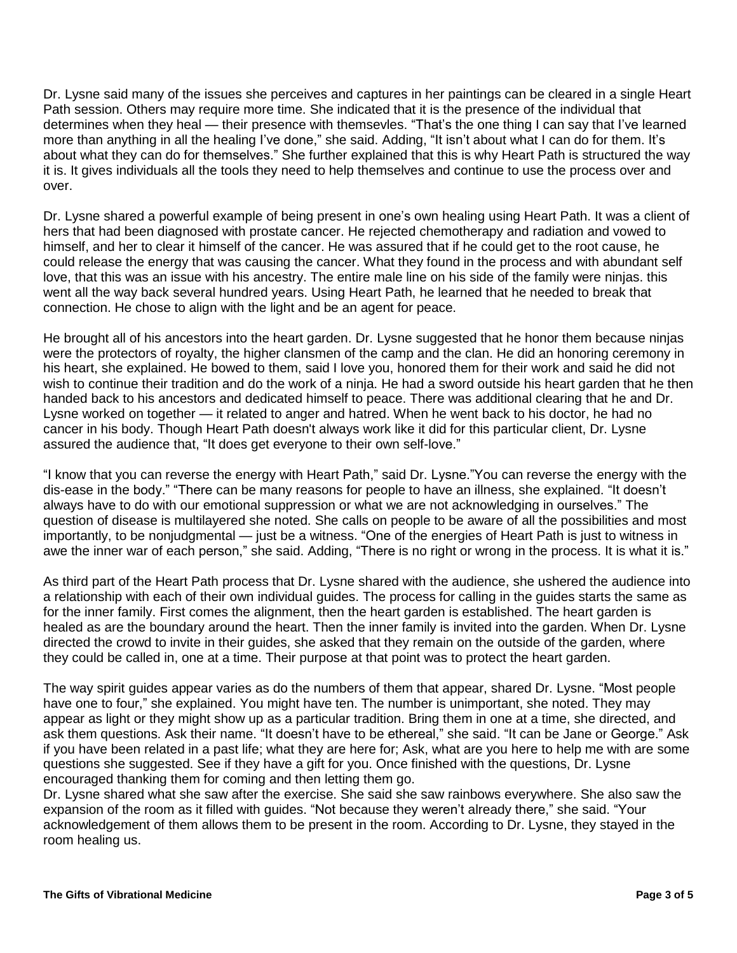Dr. Lysne said many of the issues she perceives and captures in her paintings can be cleared in a single Heart Path session. Others may require more time. She indicated that it is the presence of the individual that determines when they heal — their presence with themsevles. "That's the one thing I can say that I've learned more than anything in all the healing I've done," she said. Adding, "It isn't about what I can do for them. It's about what they can do for themselves." She further explained that this is why Heart Path is structured the way it is. It gives individuals all the tools they need to help themselves and continue to use the process over and over.

Dr. Lysne shared a powerful example of being present in one's own healing using Heart Path. It was a client of hers that had been diagnosed with prostate cancer. He rejected chemotherapy and radiation and vowed to himself, and her to clear it himself of the cancer. He was assured that if he could get to the root cause, he could release the energy that was causing the cancer. What they found in the process and with abundant self love, that this was an issue with his ancestry. The entire male line on his side of the family were ninjas. this went all the way back several hundred years. Using Heart Path, he learned that he needed to break that connection. He chose to align with the light and be an agent for peace.

He brought all of his ancestors into the heart garden. Dr. Lysne suggested that he honor them because ninjas were the protectors of royalty, the higher clansmen of the camp and the clan. He did an honoring ceremony in his heart, she explained. He bowed to them, said I love you, honored them for their work and said he did not wish to continue their tradition and do the work of a ninja. He had a sword outside his heart garden that he then handed back to his ancestors and dedicated himself to peace. There was additional clearing that he and Dr. Lysne worked on together — it related to anger and hatred. When he went back to his doctor, he had no cancer in his body. Though Heart Path doesn't always work like it did for this particular client, Dr. Lysne assured the audience that, "It does get everyone to their own self-love."

"I know that you can reverse the energy with Heart Path," said Dr. Lysne."You can reverse the energy with the dis-ease in the body." "There can be many reasons for people to have an illness, she explained. "It doesn't always have to do with our emotional suppression or what we are not acknowledging in ourselves." The question of disease is multilayered she noted. She calls on people to be aware of all the possibilities and most importantly, to be nonjudgmental — just be a witness. "One of the energies of Heart Path is just to witness in awe the inner war of each person," she said. Adding, "There is no right or wrong in the process. It is what it is."

As third part of the Heart Path process that Dr. Lysne shared with the audience, she ushered the audience into a relationship with each of their own individual guides. The process for calling in the guides starts the same as for the inner family. First comes the alignment, then the heart garden is established. The heart garden is healed as are the boundary around the heart. Then the inner family is invited into the garden. When Dr. Lysne directed the crowd to invite in their guides, she asked that they remain on the outside of the garden, where they could be called in, one at a time. Their purpose at that point was to protect the heart garden.

The way spirit guides appear varies as do the numbers of them that appear, shared Dr. Lysne. "Most people have one to four," she explained. You might have ten. The number is unimportant, she noted. They may appear as light or they might show up as a particular tradition. Bring them in one at a time, she directed, and ask them questions. Ask their name. "It doesn't have to be ethereal," she said. "It can be Jane or George." Ask if you have been related in a past life; what they are here for; Ask, what are you here to help me with are some questions she suggested. See if they have a gift for you. Once finished with the questions, Dr. Lysne encouraged thanking them for coming and then letting them go.

Dr. Lysne shared what she saw after the exercise. She said she saw rainbows everywhere. She also saw the expansion of the room as it filled with guides. "Not because they weren't already there," she said. "Your acknowledgement of them allows them to be present in the room. According to Dr. Lysne, they stayed in the room healing us.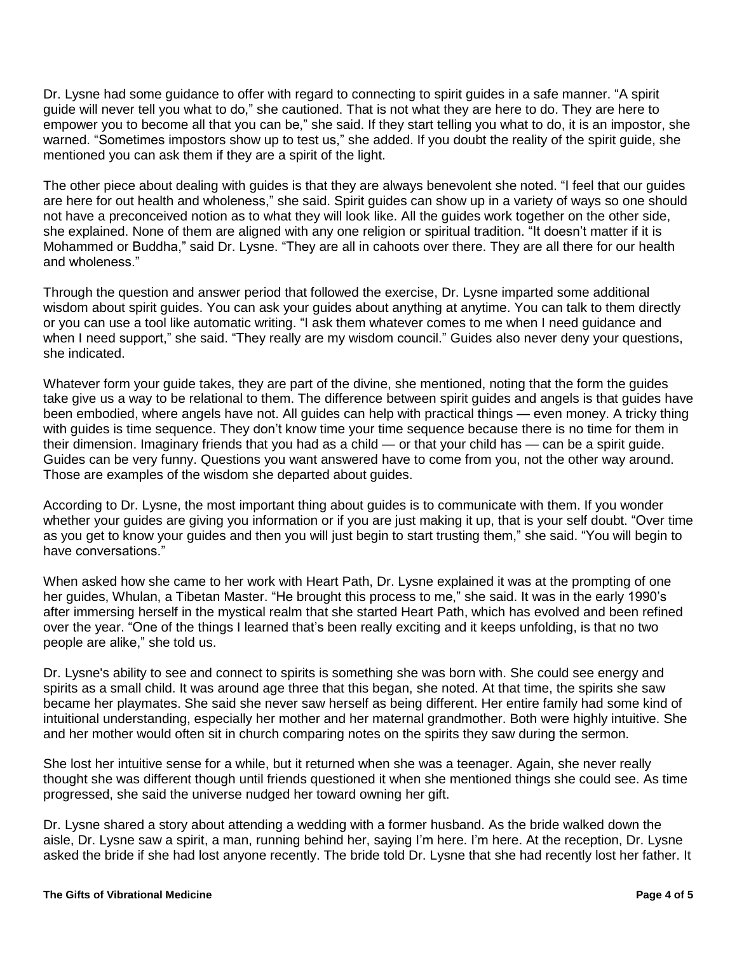Dr. Lysne had some guidance to offer with regard to connecting to spirit guides in a safe manner. "A spirit guide will never tell you what to do," she cautioned. That is not what they are here to do. They are here to empower you to become all that you can be," she said. If they start telling you what to do, it is an impostor, she warned. "Sometimes impostors show up to test us," she added. If you doubt the reality of the spirit guide, she mentioned you can ask them if they are a spirit of the light.

The other piece about dealing with guides is that they are always benevolent she noted. "I feel that our guides are here for out health and wholeness," she said. Spirit guides can show up in a variety of ways so one should not have a preconceived notion as to what they will look like. All the guides work together on the other side, she explained. None of them are aligned with any one religion or spiritual tradition. "It doesn't matter if it is Mohammed or Buddha," said Dr. Lysne. "They are all in cahoots over there. They are all there for our health and wholeness."

Through the question and answer period that followed the exercise, Dr. Lysne imparted some additional wisdom about spirit guides. You can ask your guides about anything at anytime. You can talk to them directly or you can use a tool like automatic writing. "I ask them whatever comes to me when I need guidance and when I need support," she said. "They really are my wisdom council." Guides also never deny your questions, she indicated.

Whatever form your guide takes, they are part of the divine, she mentioned, noting that the form the guides take give us a way to be relational to them. The difference between spirit guides and angels is that guides have been embodied, where angels have not. All guides can help with practical things — even money. A tricky thing with guides is time sequence. They don't know time your time sequence because there is no time for them in their dimension. Imaginary friends that you had as a child — or that your child has — can be a spirit guide. Guides can be very funny. Questions you want answered have to come from you, not the other way around. Those are examples of the wisdom she departed about guides.

According to Dr. Lysne, the most important thing about guides is to communicate with them. If you wonder whether your guides are giving you information or if you are just making it up, that is your self doubt. "Over time as you get to know your guides and then you will just begin to start trusting them," she said. "You will begin to have conversations."

When asked how she came to her work with Heart Path, Dr. Lysne explained it was at the prompting of one her guides, Whulan, a Tibetan Master. "He brought this process to me," she said. It was in the early 1990's after immersing herself in the mystical realm that she started Heart Path, which has evolved and been refined over the year. "One of the things I learned that's been really exciting and it keeps unfolding, is that no two people are alike," she told us.

Dr. Lysne's ability to see and connect to spirits is something she was born with. She could see energy and spirits as a small child. It was around age three that this began, she noted. At that time, the spirits she saw became her playmates. She said she never saw herself as being different. Her entire family had some kind of intuitional understanding, especially her mother and her maternal grandmother. Both were highly intuitive. She and her mother would often sit in church comparing notes on the spirits they saw during the sermon.

She lost her intuitive sense for a while, but it returned when she was a teenager. Again, she never really thought she was different though until friends questioned it when she mentioned things she could see. As time progressed, she said the universe nudged her toward owning her gift.

Dr. Lysne shared a story about attending a wedding with a former husband. As the bride walked down the aisle, Dr. Lysne saw a spirit, a man, running behind her, saying I'm here. I'm here. At the reception, Dr. Lysne asked the bride if she had lost anyone recently. The bride told Dr. Lysne that she had recently lost her father. It